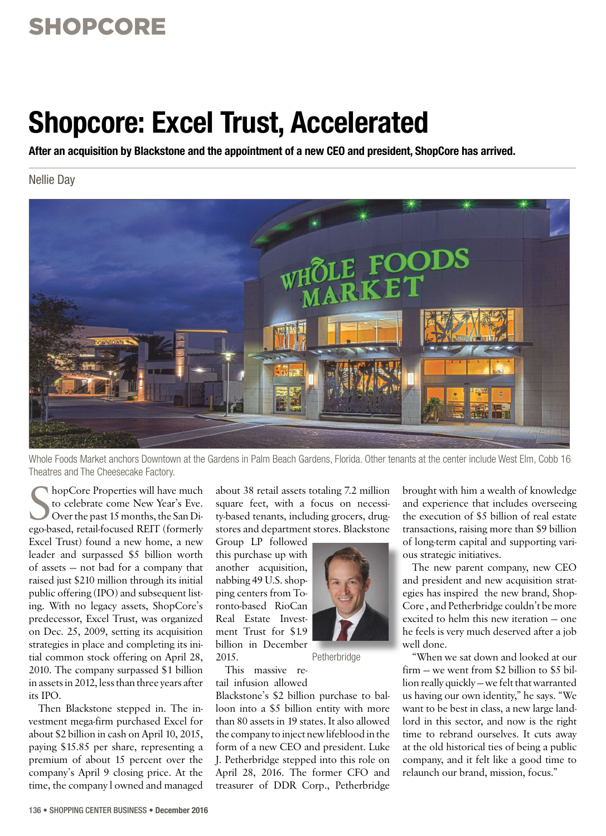### SHOPCORE

# **Shopcore: Excel Trust, Accelerated**

**After an acquisition by Blackstone and the appointment of a new CEO and president, ShopCore has arrived.**

Nellie Day



Whole Foods Market anchors Downtown at the Gardens in Palm Beach Gardens, Florida. Other tenants at the center include West Elm, Cobb 16 Theatres and The Cheesecake Factory.

Subport Properties will have much<br>to celebrate come New Year's Eve.<br>Over the past 15 months, the San Di-<br>ego-based, retail-focused REIT (formerly hopCore Properties will have much to celebrate come New Year's Eve. Over the past 15 months, the San Di-Excel Trust) found a new home, a new leader and surpassed \$5 billion worth of assets — not bad for a company that raised just \$210 million through its initial public offering (IPO) and subsequent listing. With no legacy assets, ShopCore's predecessor, Excel Trust, was organized on Dec. 25, 2009, setting its acquisition strategies in place and completing its initial common stock offering on April 28, 2010. The company surpassed \$1 billion in assets in 2012, less than three years after its IPO.

Then Blackstone stepped in. The investment mega-firm purchased Excel for about \$2 billion in cash on April 10, 2015, paying \$15.85 per share, representing a premium of about 15 percent over the company's April 9 closing price. At the time, the company l owned and managed about 38 retail assets totaling 7.2 million square feet, with a focus on necessity-based tenants, including grocers, drugstores and department stores. Blackstone

Group LP followed this purchase up with another acquisition, nabbing 49 U.S. shopping centers from Toronto-based RioCan Real Estate Investment Trust for \$1.9 billion in December 2015.



Petherbridge

This massive retail infusion allowed

Blackstone's \$2 billion purchase to balloon into a \$5 billion entity with more than 80 assets in 19 states. It also allowed the company to inject new lifeblood in the form of a new CEO and president. Luke J. Petherbridge stepped into this role on April 28, 2016. The former CFO and treasurer of DDR Corp., Petherbridge

brought with him a wealth of knowledge and experience that includes overseeing the execution of \$5 billion of real estate transactions, raising more than \$9 billion of long-term capital and supporting various strategic initiatives.

The new parent company, new CEO and president and new acquisition strategies has inspired the new brand, Shop-Core , and Petherbridge couldn't be more excited to helm this new iteration — one he feels is very much deserved after a job well done.

"When we sat down and looked at our firm  $\div$  we went from \$2 billion to \$5 billion really quickly — we felt that warranted us having our own identity," he says. "We want to be best in class, a new large landlord in this sector, and now is the right time to rebrand ourselves. It cuts away at the old historical ties of being a public company, and it felt like a good time to relaunch our brand, mission, focus."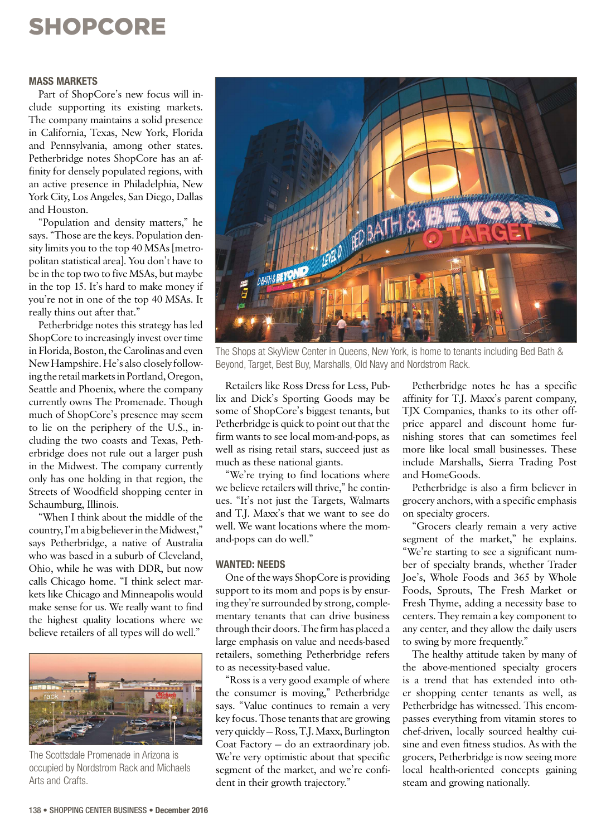# SHOPCORE

#### **MASS MARKETS**

Part of ShopCore's new focus will include supporting its existing markets. The company maintains a solid presence in California, Texas, New York, Florida and Pennsylvania, among other states. Petherbridge notes ShopCore has an affinity for densely populated regions, with an active presence in Philadelphia, New York City, Los Angeles, San Diego, Dallas and Houston.

"Population and density matters," he says. "Those are the keys. Population density limits you to the top 40 MSAs [metropolitan statistical area]. You don't have to be in the top two to five MSAs, but maybe in the top 15. It's hard to make money if you're not in one of the top 40 MSAs. It really thins out after that."

Petherbridge notes this strategy has led ShopCore to increasingly invest over time in Florida, Boston, the Carolinas and even New Hampshire. He's also closely following the retail markets in Portland, Oregon, Seattle and Phoenix, where the company currently owns The Promenade. Though much of ShopCore's presence may seem to lie on the periphery of the U.S., including the two coasts and Texas, Petherbridge does not rule out a larger push in the Midwest. The company currently only has one holding in that region, the Streets of Woodfield shopping center in Schaumburg, Illinois.

"When I think about the middle of the country, I'm a big believer in the Midwest," says Petherbridge, a native of Australia who was based in a suburb of Cleveland, Ohio, while he was with DDR, but now calls Chicago home. "I think select markets like Chicago and Minneapolis would make sense for us. We really want to find the highest quality locations where we believe retailers of all types will do well."



The Scottsdale Promenade in Arizona is occupied by Nordstrom Rack and Michaels Arts and Crafts.



The Shops at SkyView Center in Queens, New York, is home to tenants including Bed Bath & Beyond, Target, Best Buy, Marshalls, Old Navy and Nordstrom Rack.

Retailers like Ross Dress for Less, Publix and Dick's Sporting Goods may be some of ShopCore's biggest tenants, but Petherbridge is quick to point out that the firm wants to see local mom-and-pops, as well as rising retail stars, succeed just as much as these national giants.

"We're trying to find locations where we believe retailers will thrive," he continues. "It's not just the Targets, Walmarts and T.J. Maxx's that we want to see do well. We want locations where the momand-pops can do well."

### **WANTED: NEEDS**

One of the ways ShopCore is providing support to its mom and pops is by ensuring they're surrounded by strong, complementary tenants that can drive business through their doors. The firm has placed a large emphasis on value and needs-based retailers, something Petherbridge refers to as necessity-based value.

"Ross is a very good example of where the consumer is moving," Petherbridge says. "Value continues to remain a very key focus. Those tenants that are growing very quickly — Ross, T.J. Maxx, Burlington Coat Factory — do an extraordinary job. We're very optimistic about that specific segment of the market, and we're confident in their growth trajectory."

Petherbridge notes he has a specific affinity for T.J. Maxx's parent company, TJX Companies, thanks to its other offprice apparel and discount home furnishing stores that can sometimes feel more like local small businesses. These include Marshalls, Sierra Trading Post and HomeGoods.

Petherbridge is also a firm believer in grocery anchors, with a specific emphasis on specialty grocers.

"Grocers clearly remain a very active segment of the market," he explains. "We're starting to see a significant number of specialty brands, whether Trader Joe's, Whole Foods and 365 by Whole Foods, Sprouts, The Fresh Market or Fresh Thyme, adding a necessity base to centers. They remain a key component to any center, and they allow the daily users to swing by more frequently."

The healthy attitude taken by many of the above-mentioned specialty grocers is a trend that has extended into other shopping center tenants as well, as Petherbridge has witnessed. This encompasses everything from vitamin stores to chef-driven, locally sourced healthy cuisine and even fitness studios. As with the grocers, Petherbridge is now seeing more local health-oriented concepts gaining steam and growing nationally.